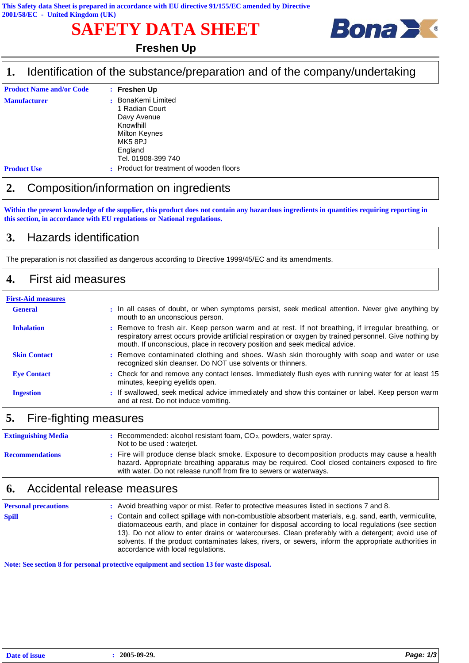# **SAFETY DATA SHEET**



## **Freshen Up**

#### Identification of the substance/preparation and of the company/undertaking **1.**

| <b>Product Name and/or Code</b> |           | : Freshen Up                                                                                                                                   |
|---------------------------------|-----------|------------------------------------------------------------------------------------------------------------------------------------------------|
| <b>Manufacturer</b>             |           | BonaKemi Limited<br>1 Radian Court<br>Davy Avenue<br>Knowlhill<br><b>Milton Keynes</b><br>MK <sub>5</sub> 8PJ<br>England<br>Tel. 01908-399 740 |
| <b>Product Use</b>              | $\bullet$ | Product for treatment of wooden floors                                                                                                         |

### **2.** Composition/information on ingredients

**Within the present knowledge of the supplier, this product does not contain any hazardous ingredients in quantities requiring reporting in this section, in accordance with EU regulations or National regulations.**

## **3.** Hazards identification

The preparation is not classified as dangerous according to Directive 1999/45/EC and its amendments.

#### **4.** First aid measures

| <b>First-Aid measures</b> |                                                                                                                                                                                                                                                                                             |
|---------------------------|---------------------------------------------------------------------------------------------------------------------------------------------------------------------------------------------------------------------------------------------------------------------------------------------|
| <b>General</b>            | . In all cases of doubt, or when symptoms persist, seek medical attention. Never give anything by<br>mouth to an unconscious person.                                                                                                                                                        |
| <b>Inhalation</b>         | : Remove to fresh air. Keep person warm and at rest. If not breathing, if irregular breathing, or<br>respiratory arrest occurs provide artificial respiration or oxygen by trained personnel. Give nothing by<br>mouth. If unconscious, place in recovery position and seek medical advice. |
| <b>Skin Contact</b>       | : Remove contaminated clothing and shoes. Wash skin thoroughly with soap and water or use<br>recognized skin cleanser. Do NOT use solvents or thinners.                                                                                                                                     |
| <b>Eve Contact</b>        | : Check for and remove any contact lenses. Immediately flush eyes with running water for at least 15<br>minutes, keeping eyelids open.                                                                                                                                                      |
| <b>Ingestion</b>          | : If swallowed, seek medical advice immediately and show this container or label. Keep person warm<br>and at rest. Do not induce vomiting.                                                                                                                                                  |
|                           |                                                                                                                                                                                                                                                                                             |

## **5.** Fire-fighting measures

| <b>Extinguishing Media</b> | $:$ Recommended: alcohol resistant foam, $CO2$ , powders, water spray.<br>Not to be used: waterjet.                                                                                                                                                                    |
|----------------------------|------------------------------------------------------------------------------------------------------------------------------------------------------------------------------------------------------------------------------------------------------------------------|
| <b>Recommendations</b>     | : Fire will produce dense black smoke. Exposure to decomposition products may cause a health<br>hazard. Appropriate breathing apparatus may be required. Cool closed containers exposed to fire<br>with water. Do not release runoff from fire to sewers or waterways. |

### **6.** Accidental release measures

| <b>Personal precautions</b> | : Avoid breathing vapor or mist. Refer to protective measures listed in sections 7 and 8.                                                                                                                                                                                                                                                                                                                                                                           |
|-----------------------------|---------------------------------------------------------------------------------------------------------------------------------------------------------------------------------------------------------------------------------------------------------------------------------------------------------------------------------------------------------------------------------------------------------------------------------------------------------------------|
| <b>Spill</b>                | : Contain and collect spillage with non-combustible absorbent materials, e.g. sand, earth, vermiculite,<br>diatomaceous earth, and place in container for disposal according to local regulations (see section<br>13). Do not allow to enter drains or watercourses. Clean preferably with a detergent; avoid use of<br>solvents. If the product contaminates lakes, rivers, or sewers, inform the appropriate authorities in<br>accordance with local regulations. |

**Note: See section 8 for personal protective equipment and section 13 for waste disposal.**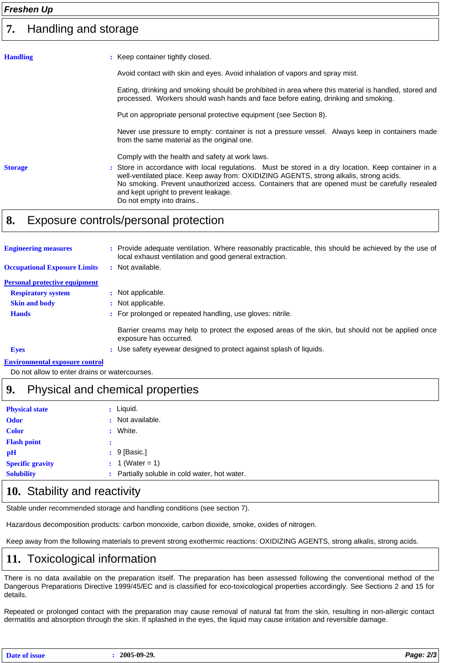#### Handling and storage **7.**

| <b>Handling</b> | : Keep container tightly closed.                                                                                                                                                                                                                                                                                                                                    |
|-----------------|---------------------------------------------------------------------------------------------------------------------------------------------------------------------------------------------------------------------------------------------------------------------------------------------------------------------------------------------------------------------|
|                 | Avoid contact with skin and eyes. Avoid inhalation of vapors and spray mist.                                                                                                                                                                                                                                                                                        |
|                 | Eating, drinking and smoking should be prohibited in area where this material is handled, stored and<br>processed. Workers should wash hands and face before eating, drinking and smoking.                                                                                                                                                                          |
|                 | Put on appropriate personal protective equipment (see Section 8).                                                                                                                                                                                                                                                                                                   |
|                 | Never use pressure to empty: container is not a pressure vessel. Always keep in containers made<br>from the same material as the original one.                                                                                                                                                                                                                      |
|                 | Comply with the health and safety at work laws.                                                                                                                                                                                                                                                                                                                     |
| <b>Storage</b>  | : Store in accordance with local regulations. Must be stored in a dry location. Keep container in a<br>well-ventilated place. Keep away from: OXIDIZING AGENTS, strong alkalis, strong acids.<br>No smoking. Prevent unauthorized access. Containers that are opened must be carefully resealed<br>and kept upright to prevent leakage.<br>Do not empty into drains |
|                 |                                                                                                                                                                                                                                                                                                                                                                     |

## **8.** Exposure controls/personal protection

| <b>Engineering measures</b>           |   | : Provide adequate ventilation. Where reasonably practicable, this should be achieved by the use of<br>local exhaust ventilation and good general extraction. |
|---------------------------------------|---|---------------------------------------------------------------------------------------------------------------------------------------------------------------|
| <b>Occupational Exposure Limits</b>   | ÷ | Not available.                                                                                                                                                |
| <b>Personal protective equipment</b>  |   |                                                                                                                                                               |
| <b>Respiratory system</b>             |   | : Not applicable.                                                                                                                                             |
| <b>Skin and body</b>                  |   | : Not applicable.                                                                                                                                             |
| <b>Hands</b>                          |   | : For prolonged or repeated handling, use gloves: nitrile.                                                                                                    |
|                                       |   | Barrier creams may help to protect the exposed areas of the skin, but should not be applied once<br>exposure has occurred.                                    |
| <b>Eyes</b>                           |   | : Use safety eyewear designed to protect against splash of liquids.                                                                                           |
| <b>Environmental exposure control</b> |   |                                                                                                                                                               |

Do not allow to enter drains or watercourses.

## **9.** Physical and chemical properties

| <b>Physical state</b>   |             | : Liquid.                                     |
|-------------------------|-------------|-----------------------------------------------|
| <b>Odor</b>             |             | : Not available.                              |
| <b>Color</b>            | $\bullet$ . | White.                                        |
| <b>Flash point</b>      |             |                                               |
| pH                      |             | $: 9$ [Basic.]                                |
| <b>Specific gravity</b> |             | : 1 (Water = 1)                               |
| <b>Solubility</b>       |             | : Partially soluble in cold water, hot water. |

## 10. Stability and reactivity

Stable under recommended storage and handling conditions (see section 7).

Hazardous decomposition products: carbon monoxide, carbon dioxide, smoke, oxides of nitrogen.

Keep away from the following materials to prevent strong exothermic reactions: OXIDIZING AGENTS, strong alkalis, strong acids.

## **11.** Toxicological information

There is no data available on the preparation itself. The preparation has been assessed following the conventional method of the Dangerous Preparations Directive 1999/45/EC and is classified for eco-toxicological properties accordingly. See Sections 2 and 15 for details.

Repeated or prolonged contact with the preparation may cause removal of natural fat from the skin, resulting in non-allergic contact dermatitis and absorption through the skin. If splashed in the eyes, the liquid may cause irritation and reversible damage.